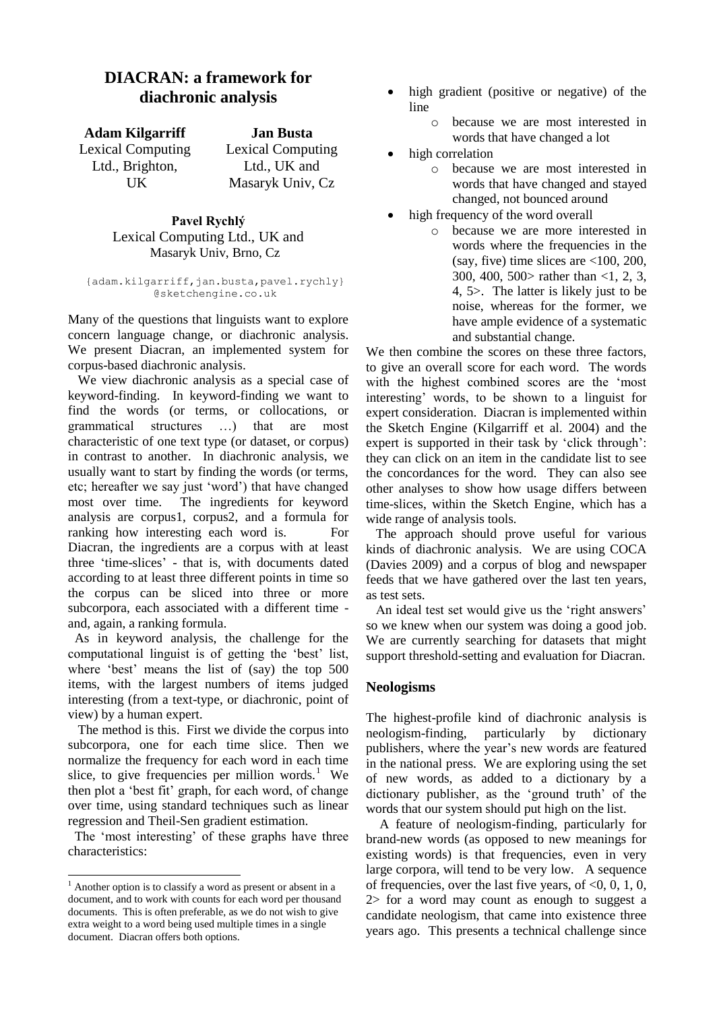## **DIACRAN: a framework for diachronic analysis**

**Adam Kilgarriff Jan Busta** Lexical Computing Ltd., Brighton, **UK** 

Lexical Computing Ltd., UK and Masaryk Univ, Cz

**Pavel Rychlý** Lexical Computing Ltd., UK and Masaryk Univ, Brno, Cz

{adam.kilgarriff,jan.busta,pavel.rychly} @sketchengine.co.uk

Many of the questions that linguists want to explore concern language change, or diachronic analysis. We present Diacran, an implemented system for corpus-based diachronic analysis.

 We view diachronic analysis as a special case of keyword-finding. In keyword-finding we want to find the words (or terms, or collocations, or grammatical structures …) that are most characteristic of one text type (or dataset, or corpus) in contrast to another. In diachronic analysis, we usually want to start by finding the words (or terms, etc; hereafter we say just 'word') that have changed most over time. The ingredients for keyword analysis are corpus1, corpus2, and a formula for ranking how interesting each word is. For Diacran, the ingredients are a corpus with at least three 'time-slices' - that is, with documents dated according to at least three different points in time so the corpus can be sliced into three or more subcorpora, each associated with a different time and, again, a ranking formula.

 As in keyword analysis, the challenge for the computational linguist is of getting the 'best' list, where 'best' means the list of (say) the top 500 items, with the largest numbers of items judged interesting (from a text-type, or diachronic, point of view) by a human expert.

 The method is this. First we divide the corpus into subcorpora, one for each time slice. Then we normalize the frequency for each word in each time slice, to give frequencies per million words. $1$  We then plot a 'best fit' graph, for each word, of change over time, using standard techniques such as linear regression and Theil-Sen gradient estimation.

 The 'most interesting' of these graphs have three characteristics:

1

- high gradient (positive or negative) of the line
	- o because we are most interested in words that have changed a lot
- high correlation
	- o because we are most interested in words that have changed and stayed changed, not bounced around
- high frequency of the word overall
	- o because we are more interested in words where the frequencies in the (say, five) time slices are <100, 200, 300, 400, 500> rather than <1, 2, 3, 4, 5>. The latter is likely just to be noise, whereas for the former, we have ample evidence of a systematic and substantial change.

We then combine the scores on these three factors, to give an overall score for each word. The words with the highest combined scores are the 'most interesting' words, to be shown to a linguist for expert consideration. Diacran is implemented within the Sketch Engine (Kilgarriff et al. 2004) and the expert is supported in their task by 'click through': they can click on an item in the candidate list to see the concordances for the word. They can also see other analyses to show how usage differs between time-slices, within the Sketch Engine, which has a wide range of analysis tools.

 The approach should prove useful for various kinds of diachronic analysis. We are using COCA (Davies 2009) and a corpus of blog and newspaper feeds that we have gathered over the last ten years, as test sets.

 An ideal test set would give us the 'right answers' so we knew when our system was doing a good job. We are currently searching for datasets that might support threshold-setting and evaluation for Diacran.

## **Neologisms**

The highest-profile kind of diachronic analysis is neologism-finding, particularly by dictionary publishers, where the year's new words are featured in the national press. We are exploring using the set of new words, as added to a dictionary by a dictionary publisher, as the 'ground truth' of the words that our system should put high on the list.

A feature of neologism-finding, particularly for brand-new words (as opposed to new meanings for existing words) is that frequencies, even in very large corpora, will tend to be very low. A sequence of frequencies, over the last five years, of  $< 0$ , 0, 1, 0, 2> for a word may count as enough to suggest a candidate neologism, that came into existence three years ago. This presents a technical challenge since

 $<sup>1</sup>$  Another option is to classify a word as present or absent in a</sup> document, and to work with counts for each word per thousand documents. This is often preferable, as we do not wish to give extra weight to a word being used multiple times in a single document. Diacran offers both options.